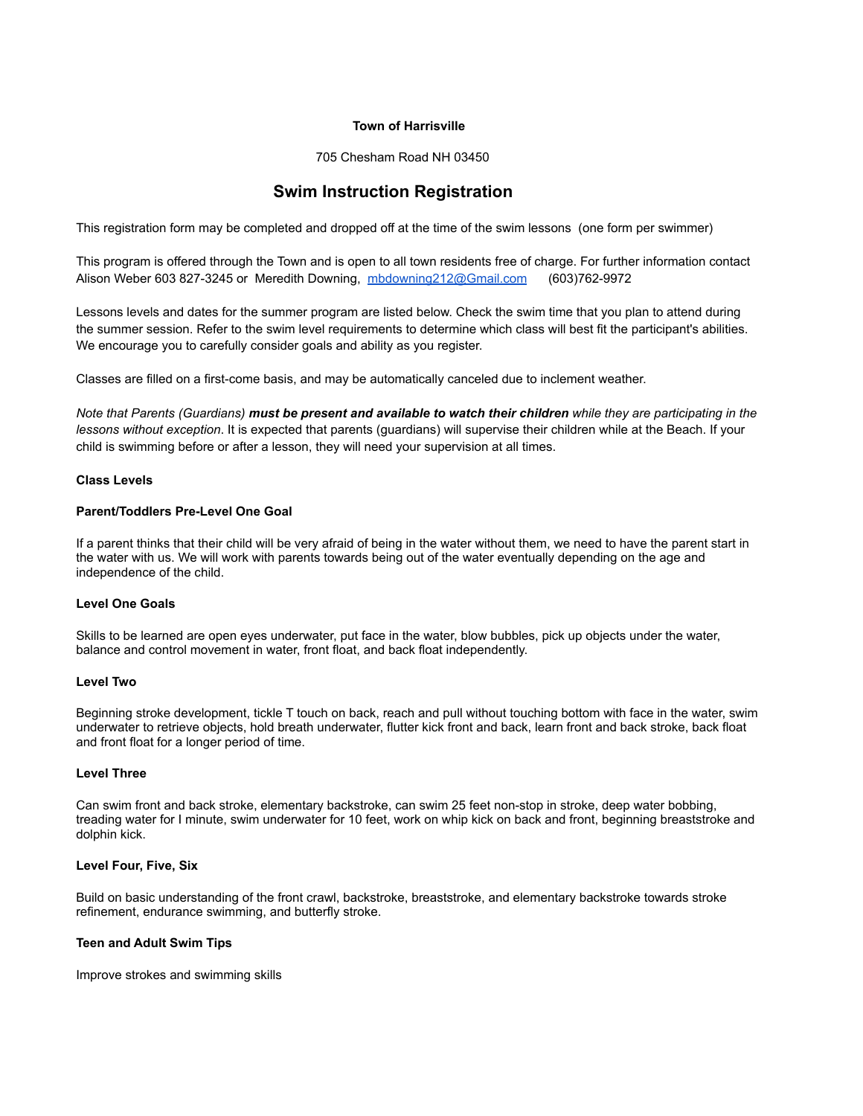#### **Town of Harrisville**

705 Chesham Road NH 03450

# **Swim Instruction Registration**

This registration form may be completed and dropped off at the time of the swim lessons (one form per swimmer)

This program is offered through the Town and is open to all town residents free of charge. For further information contact Alison Weber 603 827-3245 or Meredith Downing, [mbdowning212@Gmail.com](mailto:mbdowning212@Gmail.com) (603)762-9972

Lessons levels and dates for the summer program are listed below. Check the swim time that you plan to attend during the summer session. Refer to the swim level requirements to determine which class will best fit the participant's abilities. We encourage you to carefully consider goals and ability as you register.

Classes are filled on a first-come basis, and may be automatically canceled due to inclement weather.

*Note that Parents (Guardians) must be present and available to watch their children while they are participating in the lessons without exception*. It is expected that parents (guardians) will supervise their children while at the Beach. If your child is swimming before or after a lesson, they will need your supervision at all times.

## **Class Levels**

## **Parent/Toddlers Pre-Level One Goal**

If a parent thinks that their child will be very afraid of being in the water without them, we need to have the parent start in the water with us. We will work with parents towards being out of the water eventually depending on the age and independence of the child.

## **Level One Goals**

Skills to be learned are open eyes underwater, put face in the water, blow bubbles, pick up objects under the water, balance and control movement in water, front float, and back float independently.

#### **Level Two**

Beginning stroke development, tickle T touch on back, reach and pull without touching bottom with face in the water, swim underwater to retrieve objects, hold breath underwater, flutter kick front and back, learn front and back stroke, back float and front float for a longer period of time.

#### **Level Three**

Can swim front and back stroke, elementary backstroke, can swim 25 feet non-stop in stroke, deep water bobbing, treading water for I minute, swim underwater for 10 feet, work on whip kick on back and front, beginning breaststroke and dolphin kick.

#### **Level Four, Five, Six**

Build on basic understanding of the front crawl, backstroke, breaststroke, and elementary backstroke towards stroke refinement, endurance swimming, and butterfly stroke.

#### **Teen and Adult Swim Tips**

Improve strokes and swimming skills